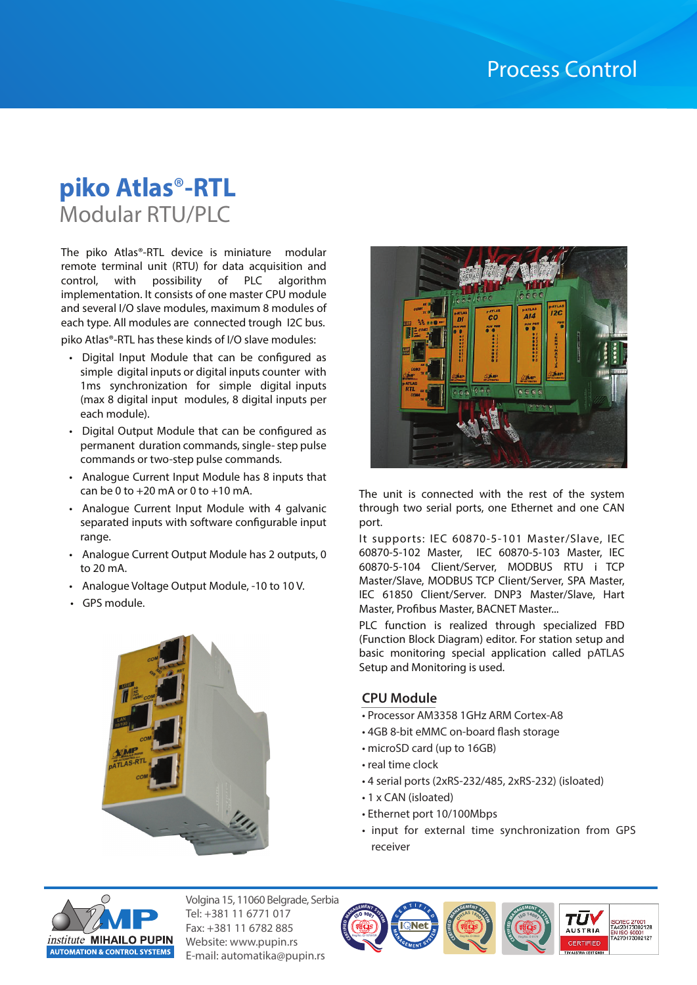# **piko Atlas**®**-RTL** Modular RTU/PLC

The piko Atlas®-RTL device is miniature modular remote terminal unit (RTU) for data acquisition and control, with possibility of PLC algorithm implementation. It consists of one master CPU module and several I/O slave modules, maximum 8 modules of each type. All modules are connected trough I2C bus.

piko Atlas®-RTL has these kinds of I/O slave modules:

- Digital Input Module that can be configured as simple digital inputs or digital inputs counter with 1ms synchronization for simple digital inputs (max 8 digital input modules, 8 digital inputs per each module).
- Digital Output Module that can be configured as permanent duration commands, single- step pulse commands or two-step pulse commands.
- Analogue Current Input Module has 8 inputs that can be 0 to  $+20$  mA or 0 to  $+10$  mA.
- Analogue Current Input Module with 4 galvanic separated inputs with software configurable input range.
- Analogue Current Output Module has 2 outputs, 0 to 20 mA.
- Analogue Voltage Output Module, -10 to 10 V.
- GPS module.





The unit is connected with the rest of the system through two serial ports, one Ethernet and one CAN port.

It supports: IEC 60870-5-101 Master/Slave, IEC 60870-5-102 Master, IEC 60870-5-103 Master, IEC 60870-5-104 Client/Server, MODBUS RTU i TCP Master/Slave, MODBUS TCP Client/Server, SPA Master, IEC 61850 Client/Server. DNP3 Master/Slave, Hart Master, Profibus Master, BACNET Master...

PLC function is realized through specialized FBD (Function Block Diagram) editor. For station setup and basic monitoring special application called pATLAS Setup and Monitoring is used.

#### **CPU Module**

- Processor AM3358 1GHz ARM Cortex-A8
- 4GB 8-bit eMMC on-board flash storage
- microSD card (up to 16GB)
- real time clock
- 4 serial ports (2xRS-232/485, 2xRS-232) (isloated)

Reg.No.:O-0063 **<sup>O</sup>HSA<sup>S</sup> <sup>1</sup>800<sup>1</sup> CERT<sup>I</sup>F<sup>I</sup><sup>E</sup><sup>D</sup> <sup>M</sup>ANAGEMEN<sup>T</sup> <sup>S</sup>YSTE<sup>M</sup>**

• 1 x CAN (isloated)

Reg.No.:Q-1078-IVR **CE** 

- Ethernet port 10/100Mbps
- input for external time synchronization from GPS receiver

**<sup>I</sup>S<sup>O</sup> <sup>1</sup>400<sup>1</sup> CERT<sup>I</sup>F<sup>I</sup><sup>E</sup><sup>D</sup> <sup>M</sup>ANAGEMEN<sup>T</sup> <sup>S</sup>YSTE<sup>M</sup>**

тū

SO/IEC 27001<br>TA420173002128 1910 3000 1<br>4270173002127



Volgina 15, 11060 Belgrade, Serbia Tel: +381 11 6771 017 Fax: +381 11 6782 885 Website: www.pupin.rs E-mail: automatika@pupin.rs